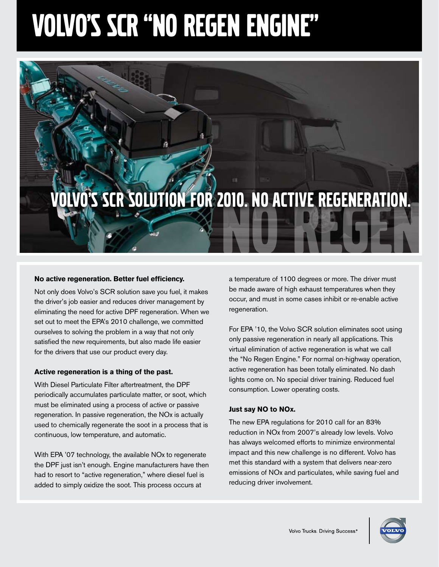# Volvo's SCR "no regen engine"

# LVO'S SCR SOLUTION FOR 2010. NO ACTIVE REGENERATION.

### **No active regeneration. Better fuel efficiency.**

Not only does Volvo's SCR solution save you fuel, it makes the driver's job easier and reduces driver management by eliminating the need for active DPF regeneration. When we set out to meet the EPA's 2010 challenge, we committed ourselves to solving the problem in a way that not only satisfied the new requirements, but also made life easier for the drivers that use our product every day.

### **Active regeneration is a thing of the past.**

With Diesel Particulate Filter aftertreatment, the DPF periodically accumulates particulate matter, or soot, which must be eliminated using a process of active or passive regeneration. In passive regeneration, the NOx is actually used to chemically regenerate the soot in a process that is continuous, low temperature, and automatic.

With EPA '07 technology, the available NOx to regenerate the DPF just isn't enough. Engine manufacturers have then had to resort to "active regeneration," where diesel fuel is added to simply oxidize the soot. This process occurs at

a temperature of 1100 degrees or more. The driver must be made aware of high exhaust temperatures when they occur, and must in some cases inhibit or re-enable active regeneration.

For EPA '10, the Volvo SCR solution eliminates soot using only passive regeneration in nearly all applications. This virtual elimination of active regeneration is what we call the "No Regen Engine." For normal on-highway operation, active regeneration has been totally eliminated. No dash lights come on. No special driver training. Reduced fuel consumption. Lower operating costs.

### **Just say NO to NOx.**

The new EPA regulations for 2010 call for an 83% reduction in NOx from 2007's already low levels. Volvo has always welcomed efforts to minimize environmental impact and this new challenge is no different. Volvo has met this standard with a system that delivers near-zero emissions of NOx and particulates, while saving fuel and reducing driver involvement.